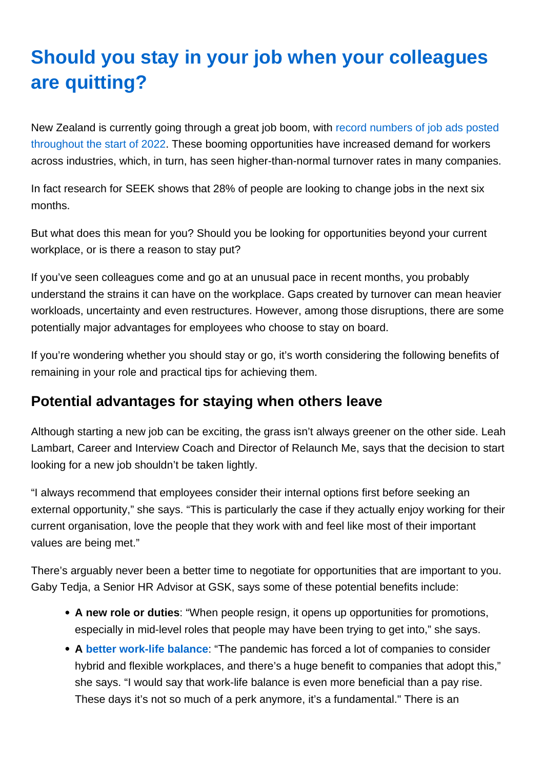## Should you stay in your job when your colleagues are quitting?

New Zealand is currently going through a great job boom, with [record numbers of job ads posted](https://www.seek.co.nz/about/news/seek-nz-employment-dashboard-march-2022)  [throughout the start of 2022](https://www.seek.co.nz/about/news/seek-nz-employment-dashboard-march-2022). These booming opportunities have increased demand for workers across industries, which, in turn, has seen higher-than-normal turnover rates in many companies.

In fact research for SEEK shows that 28% of people are looking to change jobs in the next six months.

But what does this mean for you? Should you be looking for opportunities beyond your current workplace, or is there a reason to stay put?

If you've seen colleagues come and go at an unusual pace in recent months, you probably understand the strains it can have on the workplace. Gaps created by turnover can mean heavier workloads, uncertainty and even restructures. However, among those disruptions, there are some potentially major advantages for employees who choose to stay on board.

If you're wondering whether you should stay or go, it's worth considering the following benefits of remaining in your role and practical tips for achieving them.

## Potential advantages for staying when others leave

Although starting a new job can be exciting, the grass isn't always greener on the other side. Leah Lambart, Career and Interview Coach and Director of Relaunch Me, says that the decision to start looking for a new job shouldn't be taken lightly.

"I always recommend that employees consider their internal options first before seeking an external opportunity," she says. "This is particularly the case if they actually enjoy working for their current organisation, love the people that they work with and feel like most of their important values are being met."

There's arguably never been a better time to negotiate for opportunities that are important to you. Gaby Tedja, a Senior HR Advisor at GSK, says some of these potential benefits include:

- A new role or duties : "When people resign, it opens up opportunities for promotions, especially in mid-level roles that people may have been trying to get into," she says.
- A [better work-life balance](https://www.seek.com.au/career-advice/article/5-steps-to-start-improving-your-work-life-balance) : "The pandemic has forced a lot of companies to consider hybrid and flexible workplaces, and there's a huge benefit to companies that adopt this," she says. "I would say that work-life balance is even more beneficial than a pay rise. These days it's not so much of a perk anymore, it's a fundamental." There is an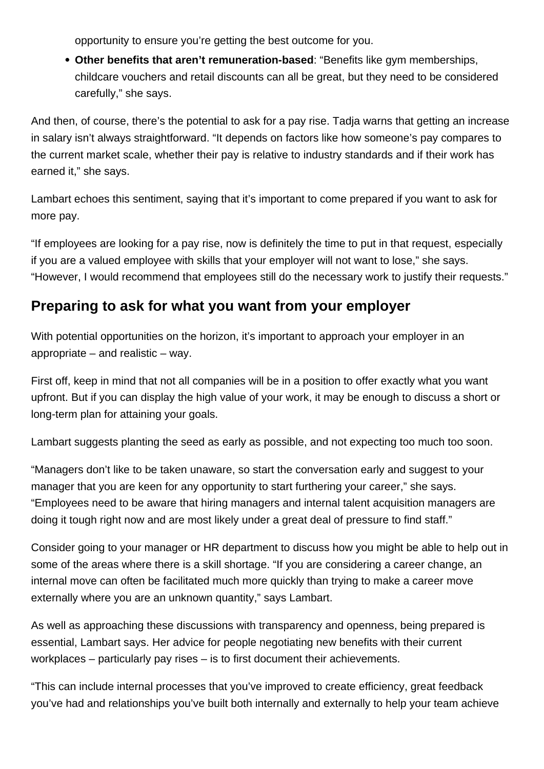opportunity to ensure you're getting the best outcome for you.

**Other benefits that aren't remuneration-based**: "Benefits like gym memberships, childcare vouchers and retail discounts can all be great, but they need to be considered carefully," she says.

And then, of course, there's the potential to ask for a pay rise. Tadja warns that getting an increase in salary isn't always straightforward. "It depends on factors like how someone's pay compares to the current market scale, whether their pay is relative to industry standards and if their work has earned it," she says.

Lambart echoes this sentiment, saying that it's important to come prepared if you want to ask for more pay.

"If employees are looking for a pay rise, now is definitely the time to put in that request, especially if you are a valued employee with skills that your employer will not want to lose," she says. "However, I would recommend that employees still do the necessary work to justify their requests."

## **Preparing to ask for what you want from your employer**

With potential opportunities on the horizon, it's important to approach your employer in an appropriate – and realistic – way.

First off, keep in mind that not all companies will be in a position to offer exactly what you want upfront. But if you can display the high value of your work, it may be enough to discuss a short or long-term plan for attaining your goals.

Lambart suggests planting the seed as early as possible, and not expecting too much too soon.

"Managers don't like to be taken unaware, so start the conversation early and suggest to your manager that you are keen for any opportunity to start furthering your career," she says. "Employees need to be aware that hiring managers and internal talent acquisition managers are doing it tough right now and are most likely under a great deal of pressure to find staff."

Consider going to your manager or HR department to discuss how you might be able to help out in some of the areas where there is a skill shortage. "If you are considering a career change, an internal move can often be facilitated much more quickly than trying to make a career move externally where you are an unknown quantity," says Lambart.

As well as approaching these discussions with transparency and openness, being prepared is essential, Lambart says. Her advice for people negotiating new benefits with their current workplaces – particularly pay rises – is to first document their achievements.

"This can include internal processes that you've improved to create efficiency, great feedback you've had and relationships you've built both internally and externally to help your team achieve